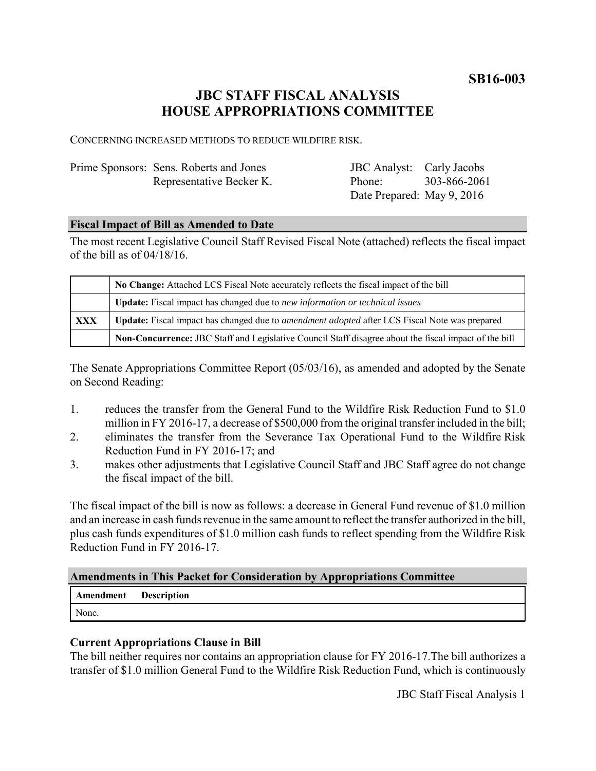**SB16-003**

# **JBC STAFF FISCAL ANALYSIS HOUSE APPROPRIATIONS COMMITTEE**

CONCERNING INCREASED METHODS TO REDUCE WILDFIRE RISK.

| Prime Sponsors: Sens. Roberts and Jones | <b>JBC</b> Analyst: Carly Jacobs |              |
|-----------------------------------------|----------------------------------|--------------|
| Representative Becker K.                | Phone <sup>-</sup>               | 303-866-2061 |
|                                         | Date Prepared: May 9, 2016       |              |

#### **Fiscal Impact of Bill as Amended to Date**

The most recent Legislative Council Staff Revised Fiscal Note (attached) reflects the fiscal impact of the bill as of 04/18/16.

|     | No Change: Attached LCS Fiscal Note accurately reflects the fiscal impact of the bill                 |
|-----|-------------------------------------------------------------------------------------------------------|
|     | <b>Update:</b> Fiscal impact has changed due to new information or technical issues                   |
| XXX | Update: Fiscal impact has changed due to <i>amendment adopted</i> after LCS Fiscal Note was prepared  |
|     | Non-Concurrence: JBC Staff and Legislative Council Staff disagree about the fiscal impact of the bill |

The Senate Appropriations Committee Report (05/03/16), as amended and adopted by the Senate on Second Reading:

- 1. reduces the transfer from the General Fund to the Wildfire Risk Reduction Fund to \$1.0 million in FY 2016-17, a decrease of \$500,000 from the original transfer included in the bill;
- 2. eliminates the transfer from the Severance Tax Operational Fund to the Wildfire Risk Reduction Fund in FY 2016-17; and
- 3. makes other adjustments that Legislative Council Staff and JBC Staff agree do not change the fiscal impact of the bill.

The fiscal impact of the bill is now as follows: a decrease in General Fund revenue of \$1.0 million and an increase in cash funds revenue in the same amount to reflect the transfer authorized in the bill, plus cash funds expenditures of \$1.0 million cash funds to reflect spending from the Wildfire Risk Reduction Fund in FY 2016-17.

# **Amendments in This Packet for Consideration by Appropriations Committee**

| <b>Amendment</b> Description |  |
|------------------------------|--|
| None.                        |  |

# **Current Appropriations Clause in Bill**

The bill neither requires nor contains an appropriation clause for FY 2016-17.The bill authorizes a transfer of \$1.0 million General Fund to the Wildfire Risk Reduction Fund, which is continuously